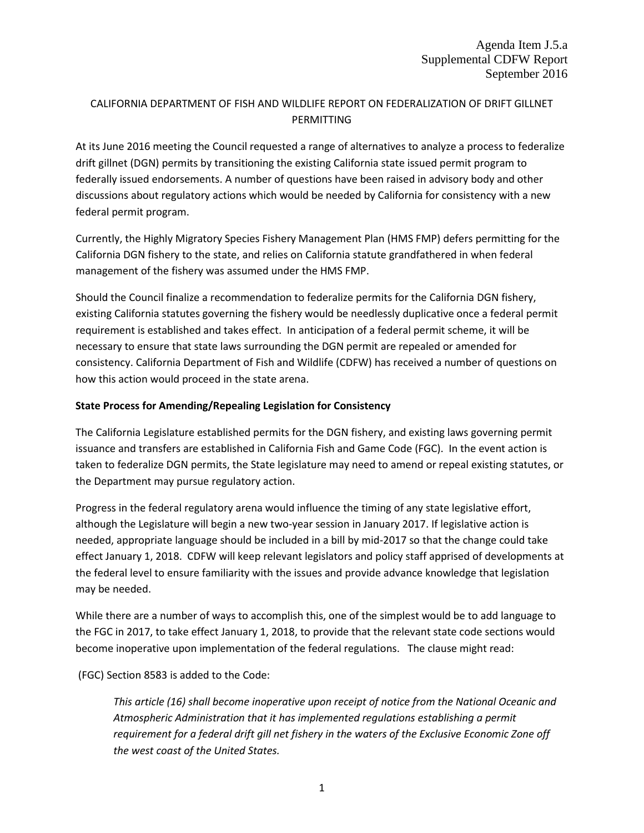# CALIFORNIA DEPARTMENT OF FISH AND WILDLIFE REPORT ON FEDERALIZATION OF DRIFT GILLNET **PERMITTING**

At its June 2016 meeting the Council requested a range of alternatives to analyze a process to federalize drift gillnet (DGN) permits by transitioning the existing California state issued permit program to federally issued endorsements. A number of questions have been raised in advisory body and other discussions about regulatory actions which would be needed by California for consistency with a new federal permit program.

Currently, the Highly Migratory Species Fishery Management Plan (HMS FMP) defers permitting for the California DGN fishery to the state, and relies on California statute grandfathered in when federal management of the fishery was assumed under the HMS FMP.

Should the Council finalize a recommendation to federalize permits for the California DGN fishery, existing California statutes governing the fishery would be needlessly duplicative once a federal permit requirement is established and takes effect. In anticipation of a federal permit scheme, it will be necessary to ensure that state laws surrounding the DGN permit are repealed or amended for consistency. California Department of Fish and Wildlife (CDFW) has received a number of questions on how this action would proceed in the state arena.

## **State Process for Amending/Repealing Legislation for Consistency**

The California Legislature established permits for the DGN fishery, and existing laws governing permit issuance and transfers are established in California Fish and Game Code (FGC). In the event action is taken to federalize DGN permits, the State legislature may need to amend or repeal existing statutes, or the Department may pursue regulatory action.

Progress in the federal regulatory arena would influence the timing of any state legislative effort, although the Legislature will begin a new two-year session in January 2017. If legislative action is needed, appropriate language should be included in a bill by mid-2017 so that the change could take effect January 1, 2018. CDFW will keep relevant legislators and policy staff apprised of developments at the federal level to ensure familiarity with the issues and provide advance knowledge that legislation may be needed.

While there are a number of ways to accomplish this, one of the simplest would be to add language to the FGC in 2017, to take effect January 1, 2018, to provide that the relevant state code sections would become inoperative upon implementation of the federal regulations. The clause might read:

(FGC) Section 8583 is added to the Code:

*This article (16) shall become inoperative upon receipt of notice from the National Oceanic and Atmospheric Administration that it has implemented regulations establishing a permit requirement for a federal drift gill net fishery in the waters of the Exclusive Economic Zone off the west coast of the United States.*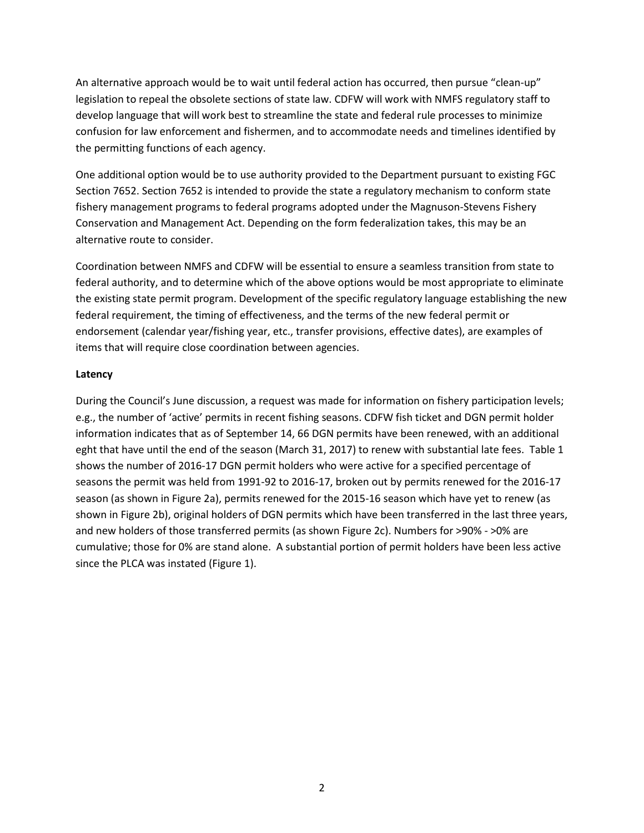An alternative approach would be to wait until federal action has occurred, then pursue "clean-up" legislation to repeal the obsolete sections of state law. CDFW will work with NMFS regulatory staff to develop language that will work best to streamline the state and federal rule processes to minimize confusion for law enforcement and fishermen, and to accommodate needs and timelines identified by the permitting functions of each agency.

One additional option would be to use authority provided to the Department pursuant to existing FGC Section 7652. Section 7652 is intended to provide the state a regulatory mechanism to conform state fishery management programs to federal programs adopted under the Magnuson-Stevens Fishery Conservation and Management Act. Depending on the form federalization takes, this may be an alternative route to consider.

Coordination between NMFS and CDFW will be essential to ensure a seamless transition from state to federal authority, and to determine which of the above options would be most appropriate to eliminate the existing state permit program. Development of the specific regulatory language establishing the new federal requirement, the timing of effectiveness, and the terms of the new federal permit or endorsement (calendar year/fishing year, etc., transfer provisions, effective dates), are examples of items that will require close coordination between agencies.

## **Latency**

During the Council's June discussion, a request was made for information on fishery participation levels; e.g., the number of 'active' permits in recent fishing seasons. CDFW fish ticket and DGN permit holder information indicates that as of September 14, 66 DGN permits have been renewed, with an additional eght that have until the end of the season (March 31, 2017) to renew with substantial late fees. Table 1 shows the number of 2016-17 DGN permit holders who were active for a specified percentage of seasons the permit was held from 1991-92 to 2016-17, broken out by permits renewed for the 2016-17 season (as shown in Figure 2a), permits renewed for the 2015-16 season which have yet to renew (as shown in Figure 2b), original holders of DGN permits which have been transferred in the last three years, and new holders of those transferred permits (as shown Figure 2c). Numbers for >90% - >0% are cumulative; those for 0% are stand alone. A substantial portion of permit holders have been less active since the PLCA was instated (Figure 1).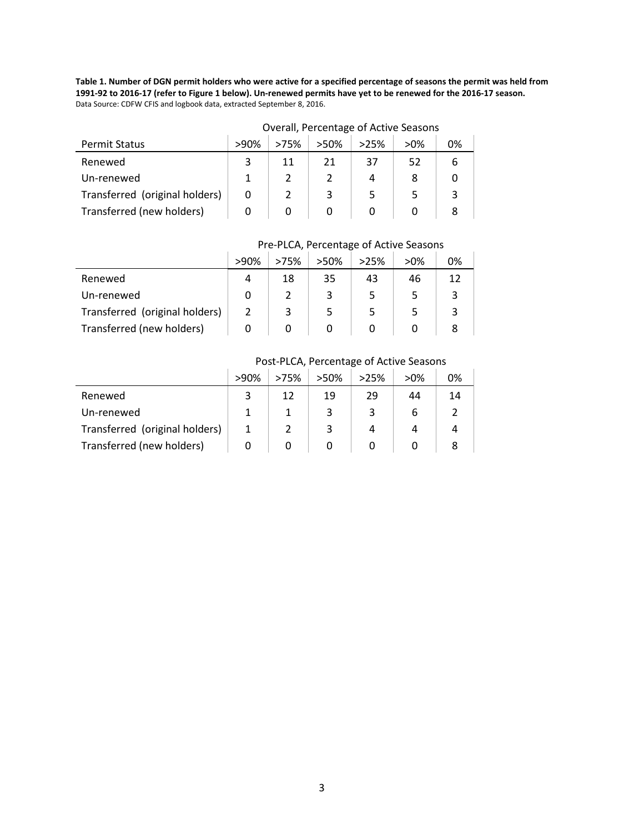**Table 1. Number of DGN permit holders who were active for a specified percentage of seasons the permit was held from 1991-92 to 2016-17 (refer to Figure 1 below). Un-renewed permits have yet to be renewed for the 2016-17 season.**  Data Source: CDFW CFIS and logbook data, extracted September 8, 2016.

|                                | Overall, Percentage of Active Seasons |      |      |      |        |    |
|--------------------------------|---------------------------------------|------|------|------|--------|----|
| <b>Permit Status</b>           | $>90\%$                               | >75% | >50% | >25% | $>0\%$ | 0% |
| Renewed                        |                                       | 11   | 21   | 37   | 52     |    |
| Un-renewed                     |                                       |      |      | 4    |        |    |
| Transferred (original holders) | 0                                     |      |      |      |        |    |
| Transferred (new holders)      |                                       |      |      |      |        |    |

# Overall, Percentage of Active Seasons

# Pre-PLCA, Percentage of Active Seasons

|                                | >90% | >75% | $>50\%$ | >25% | $>0\%$ | 0% |
|--------------------------------|------|------|---------|------|--------|----|
| Renewed                        | 4    | 18   | 35      | 43   | 46     | 12 |
| Un-renewed                     |      |      |         |      |        | 3  |
| Transferred (original holders) |      |      |         |      |        | 3  |
| Transferred (new holders)      |      |      |         |      |        |    |

#### Post-PLCA, Percentage of Active Seasons

|                                | >90% | >75% | $>50\%$ | >25% | $>0\%$ | 0% |
|--------------------------------|------|------|---------|------|--------|----|
| Renewed                        |      | 12   | 19      | 29   | 44     | 14 |
| Un-renewed                     |      |      |         |      | b      |    |
| Transferred (original holders) |      |      |         |      |        |    |
| Transferred (new holders)      |      |      |         |      |        |    |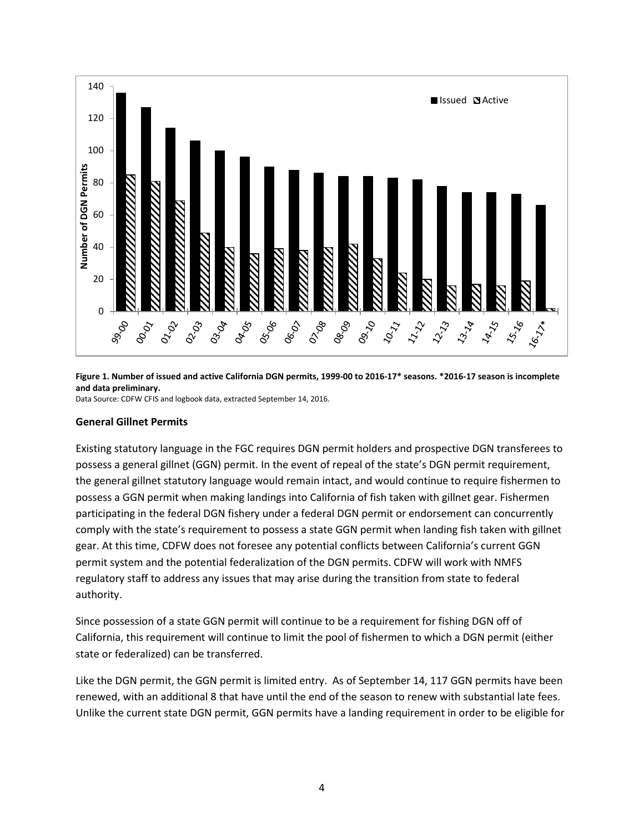

**Figure 1. Number of issued and active California DGN permits, 1999-00 to 2016-17\* seasons. \*2016-17 season is incomplete and data preliminary.** 

Data Source: CDFW CFIS and logbook data, extracted September 14, 2016.

#### **General Gillnet Permits**

Existing statutory language in the FGC requires DGN permit holders and prospective DGN transferees to possess a general gillnet (GGN) permit. In the event of repeal of the state's DGN permit requirement, the general gillnet statutory language would remain intact, and would continue to require fishermen to possess a GGN permit when making landings into California of fish taken with gillnet gear. Fishermen participating in the federal DGN fishery under a federal DGN permit or endorsement can concurrently comply with the state's requirement to possess a state GGN permit when landing fish taken with gillnet gear. At this time, CDFW does not foresee any potential conflicts between California's current GGN permit system and the potential federalization of the DGN permits. CDFW will work with NMFS regulatory staff to address any issues that may arise during the transition from state to federal authority.

Since possession of a state GGN permit will continue to be a requirement for fishing DGN off of California, this requirement will continue to limit the pool of fishermen to which a DGN permit (either state or federalized) can be transferred.

Like the DGN permit, the GGN permit is limited entry. As of September 14, 117 GGN permits have been renewed, with an additional 8 that have until the end of the season to renew with substantial late fees. Unlike the current state DGN permit, GGN permits have a landing requirement in order to be eligible for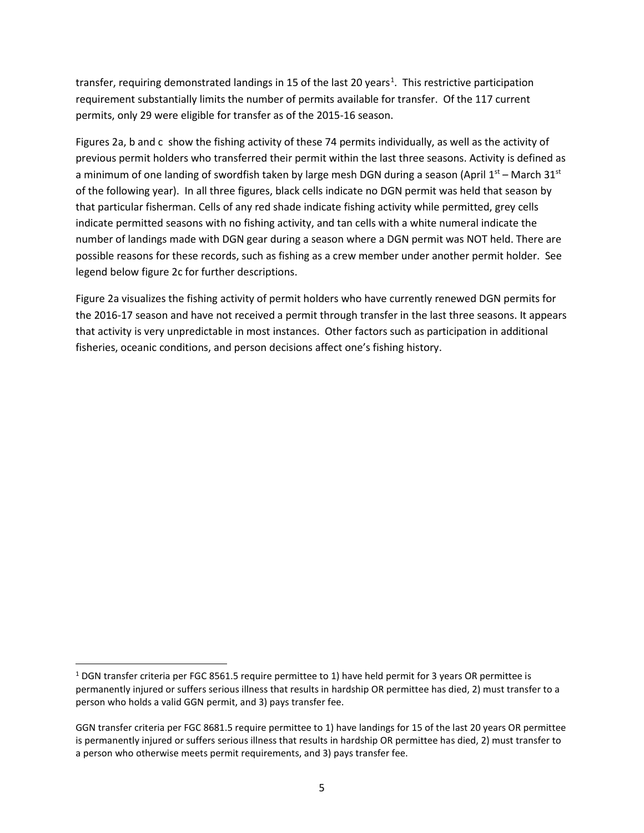transfer, requiring demonstrated landings in [1](#page-4-0)5 of the last 20 years<sup>1</sup>. This restrictive participation requirement substantially limits the number of permits available for transfer. Of the 117 current permits, only 29 were eligible for transfer as of the 2015-16 season.

Figures 2a, b and c show the fishing activity of these 74 permits individually, as well as the activity of previous permit holders who transferred their permit within the last three seasons. Activity is defined as a minimum of one landing of swordfish taken by large mesh DGN during a season (April  $1^{st}$  – March 31st of the following year). In all three figures, black cells indicate no DGN permit was held that season by that particular fisherman. Cells of any red shade indicate fishing activity while permitted, grey cells indicate permitted seasons with no fishing activity, and tan cells with a white numeral indicate the number of landings made with DGN gear during a season where a DGN permit was NOT held. There are possible reasons for these records, such as fishing as a crew member under another permit holder. See legend below figure 2c for further descriptions.

Figure 2a visualizes the fishing activity of permit holders who have currently renewed DGN permits for the 2016-17 season and have not received a permit through transfer in the last three seasons. It appears that activity is very unpredictable in most instances. Other factors such as participation in additional fisheries, oceanic conditions, and person decisions affect one's fishing history.

<span id="page-4-0"></span><sup>&</sup>lt;sup>1</sup> DGN transfer criteria per FGC 8561.5 require permittee to 1) have held permit for 3 years OR permittee is permanently injured or suffers serious illness that results in hardship OR permittee has died, 2) must transfer to a person who holds a valid GGN permit, and 3) pays transfer fee.

GGN transfer criteria per FGC 8681.5 require permittee to 1) have landings for 15 of the last 20 years OR permittee is permanently injured or suffers serious illness that results in hardship OR permittee has died, 2) must transfer to a person who otherwise meets permit requirements, and 3) pays transfer fee.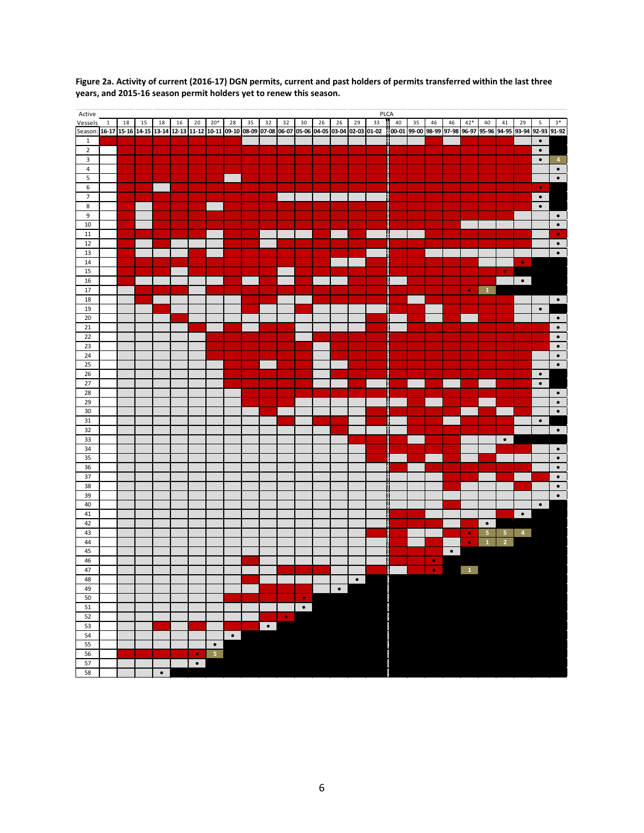

**Figure 2a. Activity of current (2016-17) DGN permits, current and past holders of permits transferred within the last three years, and 2015-16 season permit holders yet to renew this season.**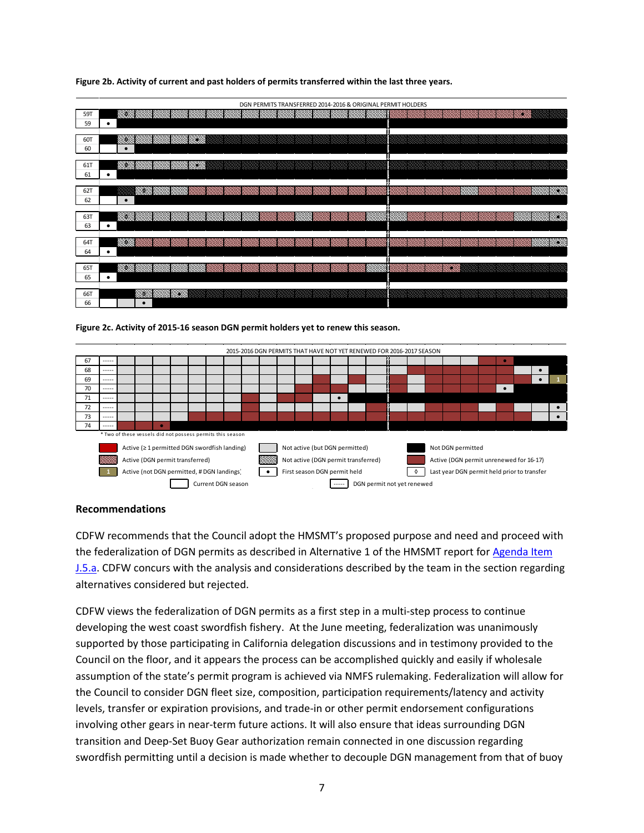| DGN PERMITS TRANSFERRED 2014-2016 & ORIGINAL PERMIT HOLDERS |                                       |    |  |  |  |
|-------------------------------------------------------------|---------------------------------------|----|--|--|--|
| 59T                                                         | 99                                    |    |  |  |  |
| 59                                                          | ٠                                     |    |  |  |  |
| 60T                                                         | 99<br>888                             |    |  |  |  |
| 60                                                          | $\bullet$                             |    |  |  |  |
| 61T                                                         |                                       |    |  |  |  |
| 61                                                          | ٠                                     |    |  |  |  |
| 62T                                                         | S.                                    | 88 |  |  |  |
| 62                                                          | $\bullet$                             |    |  |  |  |
| 63T                                                         | 1941                                  | 19 |  |  |  |
| 63                                                          | ٠                                     |    |  |  |  |
| 64T                                                         | 1990                                  | 88 |  |  |  |
| 64                                                          | $\bullet$                             |    |  |  |  |
|                                                             |                                       |    |  |  |  |
| 65T<br>65                                                   | <u> 1999 (Mars Mars </u><br>$\bullet$ |    |  |  |  |
|                                                             |                                       |    |  |  |  |
| 66T                                                         | W.                                    |    |  |  |  |
| 66                                                          | $\bullet$                             |    |  |  |  |

**Figure 2b. Activity of current and past holders of permits transferred within the last three years.**





# **Recommendations**

CDFW recommends that the Council adopt the HMSMT's proposed purpose and need and proceed with the federalization of DGN permits as described in Alternative 1 of the HMSMT report fo[r Agenda Item](http://www.pcouncil.org/wp-content/uploads/2016/08/J5a_HMSMT_Rpt_DGN_SEPT2016BB.pdf)  [J.5.a.](http://www.pcouncil.org/wp-content/uploads/2016/08/J5a_HMSMT_Rpt_DGN_SEPT2016BB.pdf) CDFW concurs with the analysis and considerations described by the team in the section regarding alternatives considered but rejected.

CDFW views the federalization of DGN permits as a first step in a multi-step process to continue developing the west coast swordfish fishery. At the June meeting, federalization was unanimously supported by those participating in California delegation discussions and in testimony provided to the Council on the floor, and it appears the process can be accomplished quickly and easily if wholesale assumption of the state's permit program is achieved via NMFS rulemaking. Federalization will allow for the Council to consider DGN fleet size, composition, participation requirements/latency and activity levels, transfer or expiration provisions, and trade-in or other permit endorsement configurations involving other gears in near-term future actions. It will also ensure that ideas surrounding DGN transition and Deep-Set Buoy Gear authorization remain connected in one discussion regarding swordfish permitting until a decision is made whether to decouple DGN management from that of buoy